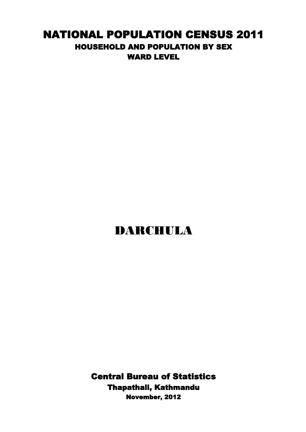## NATIONAL POPULATION CENSUS 2011 HOUSEHOLD AND POPULATION BY SEX WARD LEVEL

## DARCHULA

November, 2012 Central Bureau of Statistics Thapathali, Kathmandu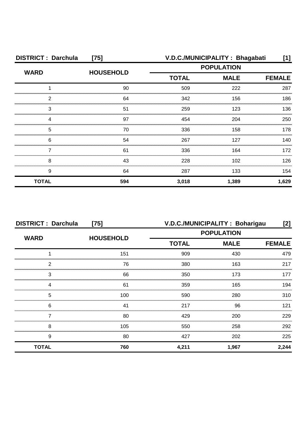| <b>DISTRICT: Darchula</b><br>$[75]$ |                  | V.D.C./MUNICIPALITY: Bhagabati                   |       | [1]           |
|-------------------------------------|------------------|--------------------------------------------------|-------|---------------|
| <b>WARD</b>                         | <b>HOUSEHOLD</b> | <b>POPULATION</b><br><b>TOTAL</b><br><b>MALE</b> |       |               |
|                                     |                  |                                                  |       | <b>FEMALE</b> |
|                                     | 90               | 509                                              | 222   | 287           |
| ົ                                   | 64               | 342                                              | 156   | 186           |
| З                                   | 51               | 259                                              | 123   | 136           |
|                                     | 97               | 454                                              | 204   | 250           |
| 5                                   | 70               | 336                                              | 158   | 178           |
| 6                                   | 54               | 267                                              | 127   | 140.          |
|                                     | 61               | 336                                              | 164   | 172           |
| 8                                   | 43               | 228                                              | 102   | 126           |
| 9                                   | 64               | 287                                              | 133   | 154           |
| <b>TOTAL</b>                        | 594              | 3,018                                            | 1,389 | 1,629         |

| <b>DISTRICT: Darchula</b><br>$[75]$ |                  | V.D.C./MUNICIPALITY: Boharigau<br>[2] |                   |               |
|-------------------------------------|------------------|---------------------------------------|-------------------|---------------|
| <b>WARD</b>                         | <b>HOUSEHOLD</b> |                                       | <b>POPULATION</b> |               |
|                                     |                  | <b>TOTAL</b>                          | <b>MALE</b>       | <b>FEMALE</b> |
|                                     | 151              | 909                                   | 430               | 479           |
| 2                                   | 76               | 380                                   | 163               | 217           |
| 3                                   | 66               | 350                                   | 173               | 177           |
| Δ                                   | 61               | 359                                   | 165               | 194           |
| 5                                   | 100              | 590                                   | 280               | 310           |
| 6                                   | 41               | 217                                   | 96                | 121           |
|                                     | 80               | 429                                   | 200               | 229           |
| 8                                   | 105              | 550                                   | 258               | 292           |
| 9                                   | 80               | 427                                   | 202               | 225           |
| <b>TOTAL</b>                        | 760              | 4,211                                 | 1,967             | 2,244         |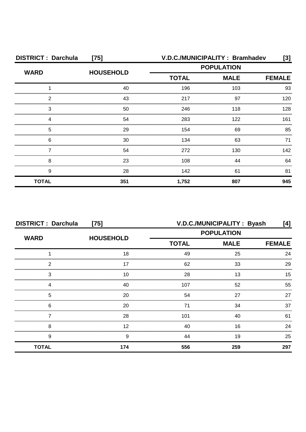| <b>DISTRICT: Darchula</b> | $[75]$           | V.D.C./MUNICIPALITY: Bramhadev |                              | $\left[3\right]$ |
|---------------------------|------------------|--------------------------------|------------------------------|------------------|
| <b>WARD</b>               | <b>HOUSEHOLD</b> | <b>POPULATION</b>              |                              |                  |
|                           |                  | <b>TOTAL</b>                   | <b>MALE</b><br><b>FEMALE</b> |                  |
|                           | 40               | 196                            | 103                          | 93               |
| っ                         | 43               | 217                            | 97                           | 120              |
| 3                         | 50               | 246                            | 118                          | 128              |
|                           | 54               | 283                            | 122                          | 161              |
| 5                         | 29               | 154                            | 69                           | 85               |
| 6                         | 30               | 134                            | 63                           | 71               |
|                           | 54               | 272                            | 130                          | 142              |
| 8                         | 23               | 108                            | 44                           | 64               |
| 9                         | 28               | 142                            | 61                           | 81               |
| <b>TOTAL</b>              | 351              | 1,752                          | 807                          | 945              |

| <b>DISTRICT: Darchula</b><br>$[75]$ |                  | V.D.C./MUNICIPALITY: Byash<br>[4] |             |               |
|-------------------------------------|------------------|-----------------------------------|-------------|---------------|
| <b>WARD</b>                         |                  | <b>POPULATION</b>                 |             |               |
|                                     | <b>HOUSEHOLD</b> | <b>TOTAL</b>                      | <b>MALE</b> | <b>FEMALE</b> |
|                                     | 18               | 49                                | 25          | 24            |
| 2                                   | 17               | 62                                | 33          | 29            |
| 3                                   | 10               | 28                                | 13          | 15            |
|                                     | 40               | 107                               | 52          | 55            |
| 5                                   | 20               | 54                                | 27          | 27            |
| 6                                   | 20               | 71                                | 34          | 37            |
|                                     | 28               | 101                               | 40          | 61            |
| 8                                   | 12               | 40                                | 16          | 24            |
| 9                                   | 9                | 44                                | 19          | 25            |
| <b>TOTAL</b>                        | 174              | 556                               | 259         | 297           |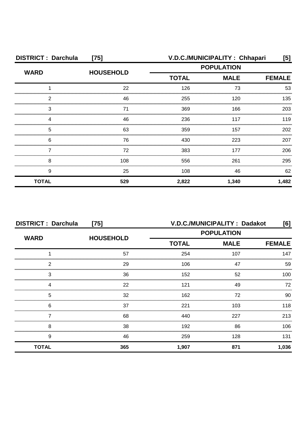| <b>DISTRICT: Darchula</b><br>$[75]$ |                  | V.D.C./MUNICIPALITY: Chhapari<br>[5] |                   |               |
|-------------------------------------|------------------|--------------------------------------|-------------------|---------------|
| <b>WARD</b>                         | <b>HOUSEHOLD</b> |                                      | <b>POPULATION</b> |               |
|                                     |                  | <b>TOTAL</b>                         | <b>MALE</b>       | <b>FEMALE</b> |
|                                     | 22               | 126                                  | 73                | 53            |
| っ                                   | 46               | 255                                  | 120               | 135           |
| 3                                   | 71               | 369                                  | 166               | 203           |
|                                     | 46               | 236                                  | 117               | 119           |
| 5                                   | 63               | 359                                  | 157               | 202           |
| 6                                   | 76               | 430                                  | 223               | 207           |
|                                     | 72               | 383                                  | 177               | 206           |
| 8                                   | 108              | 556                                  | 261               | 295           |
| 9                                   | 25               | 108                                  | 46                | 62            |
| <b>TOTAL</b>                        | 529              | 2,822                                | 1,340             | 1,482         |

| <b>DISTRICT: Darchula</b><br>$[75]$ |                  | V.D.C./MUNICIPALITY: Dadakot<br>[6] |     |               |
|-------------------------------------|------------------|-------------------------------------|-----|---------------|
| <b>WARD</b>                         |                  | <b>POPULATION</b>                   |     |               |
|                                     | <b>HOUSEHOLD</b> | <b>TOTAL</b><br><b>MALE</b>         |     | <b>FEMALE</b> |
|                                     | 57               | 254                                 | 107 | 147           |
| 2                                   | 29               | 106                                 | 47  | 59            |
| 3                                   | 36               | 152                                 | 52  | 100           |
|                                     | 22               | 121                                 | 49  | 72            |
| 5                                   | 32               | 162                                 | 72  | 90            |
| 6                                   | 37               | 221                                 | 103 | 118           |
|                                     | 68               | 440                                 | 227 | 213           |
| 8                                   | 38               | 192                                 | 86  | 106           |
| 9                                   | 46               | 259                                 | 128 | 131           |
| <b>TOTAL</b>                        | 365              | 1,907                               | 871 | 1,036         |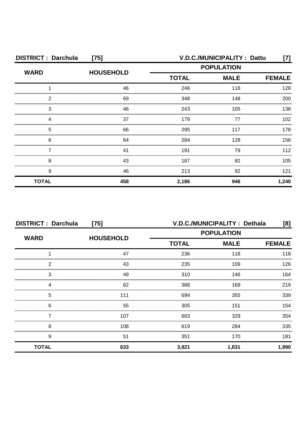| <b>DISTRICT: Darchula</b><br>$[75]$ |                  | V.D.C./MUNICIPALITY: Dattu<br>[7] |                              |       |  |  |
|-------------------------------------|------------------|-----------------------------------|------------------------------|-------|--|--|
| <b>WARD</b>                         | <b>HOUSEHOLD</b> | <b>POPULATION</b>                 |                              |       |  |  |
|                                     |                  | <b>TOTAL</b>                      | <b>MALE</b><br><b>FEMALE</b> |       |  |  |
|                                     | 46               | 246                               | 118                          | 128   |  |  |
| 2                                   | 69               | 348                               | 148                          | 200   |  |  |
| 3                                   | 46               | 243                               | 105                          | 138   |  |  |
|                                     | 37               | 179                               | 77                           | 102   |  |  |
| 5                                   | 66               | 295                               | 117                          | 178   |  |  |
| 6                                   | 64               | 284                               | 128                          | 156   |  |  |
|                                     | 41               | 191                               | 79                           | 112   |  |  |
| 8                                   | 43               | 187                               | 82                           | 105   |  |  |
| 9                                   | 46               | 213                               | 92                           | 121   |  |  |
| <b>TOTAL</b>                        | 458              | 2,186                             | 946                          | 1,240 |  |  |

| <b>DISTRICT: Darchula</b><br>$[75]$ |                  | V.D.C./MUNICIPALITY : Dethala<br>[8] |             |               |
|-------------------------------------|------------------|--------------------------------------|-------------|---------------|
|                                     |                  | <b>POPULATION</b>                    |             |               |
| <b>WARD</b>                         | <b>HOUSEHOLD</b> | <b>TOTAL</b>                         | <b>MALE</b> | <b>FEMALE</b> |
|                                     | 47               | 236                                  | 118         | 118           |
| 2                                   | 43               | 235                                  | 109         | 126           |
| 3                                   | 49               | 310                                  | 146         | 164           |
| 4                                   | 62               | 388                                  | 169         | 219           |
| 5                                   | 111              | 694                                  | 355         | 339           |
| 6                                   | 55               | 305                                  | 151         | 154           |
|                                     | 107              | 683                                  | 329         | 354           |
| 8                                   | 108              | 619                                  | 284         | 335           |
| 9                                   | 51               | 351                                  | 170         | 181           |
| <b>TOTAL</b>                        | 633              | 3,821                                | 1,831       | 1,990         |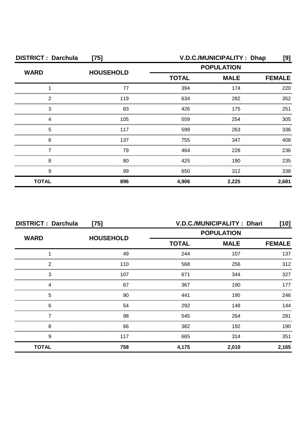| <b>DISTRICT: Darchula</b><br>$[75]$ |                  |                   | V.D.C./MUNICIPALITY: Dhap | [9]           |
|-------------------------------------|------------------|-------------------|---------------------------|---------------|
| <b>WARD</b>                         | <b>HOUSEHOLD</b> | <b>POPULATION</b> |                           |               |
|                                     |                  | <b>TOTAL</b>      | <b>MALE</b>               | <b>FEMALE</b> |
|                                     | 77               | 394               | 174                       | 220           |
| 2                                   | 119              | 634               | 282                       | 352           |
| 3                                   | 83               | 426               | 175                       | 251           |
| Δ                                   | 105              | 559               | 254                       | 305           |
| 5                                   | 117              | 599               | 263                       | 336           |
| 6                                   | 137              | 755               | 347                       | 408           |
|                                     | 79               | 464               | 228                       | 236           |
| 8                                   | 80               | 425               | 190                       | 235           |
| 9                                   | 99               | 650               | 312                       | 338           |
| <b>TOTAL</b>                        | 896              | 4,906             | 2,225                     | 2,681         |

| <b>DISTRICT: Darchula</b><br>$[75]$ |                  |              | V.D.C./MUNICIPALITY: Dhari | [10]          |
|-------------------------------------|------------------|--------------|----------------------------|---------------|
| <b>WARD</b>                         | <b>HOUSEHOLD</b> |              | <b>POPULATION</b>          |               |
|                                     |                  | <b>TOTAL</b> | <b>MALE</b>                | <b>FEMALE</b> |
|                                     | 49               | 244          | 107                        | 137           |
| 2                                   | 110              | 568          | 256                        | 312           |
| 3                                   | 107              | 671          | 344                        | 327           |
|                                     | 67               | 367          | 190                        | 177           |
| 5                                   | 90               | 441          | 195                        | 246           |
| 6                                   | 54               | 292          | 148                        | 144           |
|                                     | 98               | 545          | 264                        | 281           |
| 8                                   | 66               | 382          | 192                        | 190           |
| 9                                   | 117              | 665          | 314                        | 351           |
| <b>TOTAL</b>                        | 758              | 4,175        | 2,010                      | 2,165         |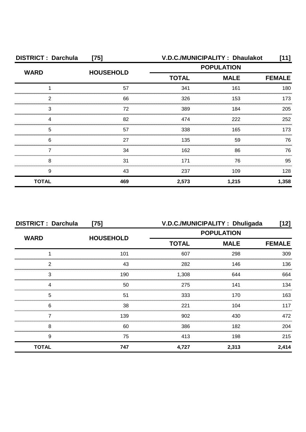| <b>DISTRICT: Darchula</b><br>$[75]$ |                  | V.D.C./MUNICIPALITY: Dhaulakot<br>[11] |             |               |
|-------------------------------------|------------------|----------------------------------------|-------------|---------------|
| <b>WARD</b>                         | <b>HOUSEHOLD</b> | <b>POPULATION</b>                      |             |               |
|                                     |                  | <b>TOTAL</b>                           | <b>MALE</b> | <b>FEMALE</b> |
|                                     | 57               | 341                                    | 161         | 180           |
| 2                                   | 66               | 326                                    | 153         | 173           |
| 3                                   | 72               | 389                                    | 184         | 205           |
| Δ                                   | 82               | 474                                    | 222         | 252           |
| 5                                   | 57               | 338                                    | 165         | 173           |
| 6                                   | 27               | 135                                    | 59          | 76            |
|                                     | 34               | 162                                    | 86          | 76            |
| 8                                   | 31               | 171                                    | 76          | 95            |
| 9                                   | 43               | 237                                    | 109         | 128           |
| <b>TOTAL</b>                        | 469              | 2,573                                  | 1,215       | 1,358         |

| <b>DISTRICT: Darchula</b><br>$[75]$ |                  | V.D.C./MUNICIPALITY: Dhuligada<br>[12] |             |               |
|-------------------------------------|------------------|----------------------------------------|-------------|---------------|
| <b>WARD</b>                         | <b>HOUSEHOLD</b> | <b>POPULATION</b>                      |             |               |
|                                     |                  | <b>TOTAL</b>                           | <b>MALE</b> | <b>FEMALE</b> |
|                                     | 101              | 607                                    | 298         | 309           |
| 2                                   | 43               | 282                                    | 146         | 136           |
| 3                                   | 190              | 1,308                                  | 644         | 664           |
| Δ                                   | 50               | 275                                    | 141         | 134           |
| 5                                   | 51               | 333                                    | 170         | 163           |
| 6                                   | 38               | 221                                    | 104         | 117           |
|                                     | 139              | 902                                    | 430         | 472           |
| 8                                   | 60               | 386                                    | 182         | 204           |
| 9                                   | 75               | 413                                    | 198         | 215           |
| <b>TOTAL</b>                        | 747              | 4,727                                  | 2,313       | 2,414         |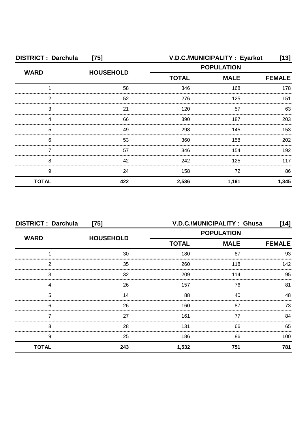| <b>DISTRICT: Darchula</b><br>$[75]$ |                  | V.D.C./MUNICIPALITY : Eyarkot |             | [13]          |
|-------------------------------------|------------------|-------------------------------|-------------|---------------|
| <b>WARD</b>                         | <b>HOUSEHOLD</b> | <b>POPULATION</b>             |             |               |
|                                     |                  | <b>TOTAL</b>                  | <b>MALE</b> | <b>FEMALE</b> |
|                                     | 58               | 346                           | 168         | 178           |
| っ                                   | 52               | 276                           | 125         | 151           |
| 3                                   | 21               | 120                           | 57          | 63            |
|                                     | 66               | 390                           | 187         | 203           |
| 5                                   | 49               | 298                           | 145         | 153           |
| 6                                   | 53               | 360                           | 158         | 202           |
|                                     | 57               | 346                           | 154         | 192           |
| 8                                   | 42               | 242                           | 125         | 117           |
| 9                                   | 24               | 158                           | 72          | 86            |
| <b>TOTAL</b>                        | 422              | 2,536                         | 1,191       | 1,345         |

| <b>DISTRICT: Darchula</b><br>$[75]$ |                  | V.D.C./MUNICIPALITY: Ghusa<br>[14] |             |               |
|-------------------------------------|------------------|------------------------------------|-------------|---------------|
|                                     |                  | <b>POPULATION</b>                  |             |               |
| <b>WARD</b>                         | <b>HOUSEHOLD</b> | <b>TOTAL</b>                       | <b>MALE</b> | <b>FEMALE</b> |
|                                     | 30               | 180                                | 87          | 93            |
| 2                                   | 35               | 260                                | 118         | 142           |
| 3                                   | 32               | 209                                | 114         | 95            |
|                                     | 26               | 157                                | 76          | 81            |
| 5                                   | 14               | 88                                 | 40          | 48            |
| 6                                   | 26               | 160                                | 87          | 73            |
|                                     | 27               | 161                                | 77          | 84            |
| 8                                   | 28               | 131                                | 66          | 65            |
| 9                                   | 25               | 186                                | 86          | 100           |
| <b>TOTAL</b>                        | 243              | 1,532                              | 751         | 781           |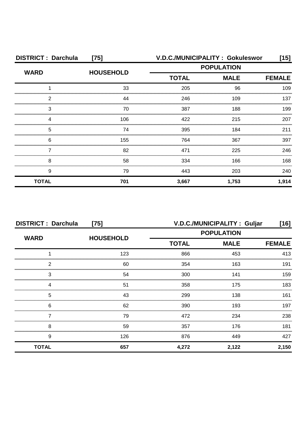| <b>DISTRICT: Darchula</b> | $[75]$           | V.D.C./MUNICIPALITY: Gokuleswor |                              | [15]  |  |
|---------------------------|------------------|---------------------------------|------------------------------|-------|--|
| <b>WARD</b>               | <b>HOUSEHOLD</b> | <b>POPULATION</b>               |                              |       |  |
|                           |                  | <b>TOTAL</b>                    | <b>MALE</b><br><b>FEMALE</b> |       |  |
|                           | 33               | 205                             | 96                           | 109   |  |
| 2                         | 44               | 246                             | 109                          | 137   |  |
| 3                         | 70               | 387                             | 188                          | 199   |  |
|                           | 106              | 422                             | 215                          | 207   |  |
| 5                         | 74               | 395                             | 184                          | 211   |  |
| 6                         | 155              | 764                             | 367                          | 397   |  |
|                           | 82               | 471                             | 225                          | 246   |  |
| 8                         | 58               | 334                             | 166                          | 168   |  |
| 9                         | 79               | 443                             | 203                          | 240   |  |
| <b>TOTAL</b>              | 701              | 3,667                           | 1,753                        | 1,914 |  |

| <b>DISTRICT: Darchula</b><br>$[75]$ |                  | V.D.C./MUNICIPALITY: Guljar<br>[16] |                   |               |
|-------------------------------------|------------------|-------------------------------------|-------------------|---------------|
| <b>WARD</b>                         | <b>HOUSEHOLD</b> |                                     | <b>POPULATION</b> |               |
|                                     |                  | <b>TOTAL</b>                        | <b>MALE</b>       | <b>FEMALE</b> |
|                                     | 123              | 866                                 | 453               | 413           |
| っ                                   | 60               | 354                                 | 163               | 191           |
| 3                                   | 54               | 300                                 | 141               | 159           |
|                                     | 51               | 358                                 | 175               | 183           |
| 5                                   | 43               | 299                                 | 138               | 161           |
| 6                                   | 62               | 390                                 | 193               | 197           |
|                                     | 79               | 472                                 | 234               | 238           |
| 8                                   | 59               | 357                                 | 176               | 181           |
| 9                                   | 126              | 876                                 | 449               | 427           |
| <b>TOTAL</b>                        | 657              | 4,272                               | 2,122             | 2,150         |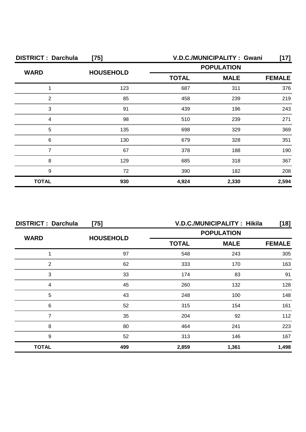| <b>DISTRICT: Darchula</b><br>$[75]$ |                  | V.D.C./MUNICIPALITY: Gwani |             |               |
|-------------------------------------|------------------|----------------------------|-------------|---------------|
| <b>WARD</b>                         | <b>HOUSEHOLD</b> | <b>POPULATION</b>          |             |               |
|                                     |                  | <b>TOTAL</b>               | <b>MALE</b> | <b>FEMALE</b> |
|                                     | 123              | 687                        | 311         | 376           |
| っ                                   | 85               | 458                        | 239         | 219           |
| 3                                   | .91              | 439                        | 196         | 243           |
|                                     | 98               | 510                        | 239         | 271           |
| 5                                   | 135              | 698                        | 329         | 369           |
| 6                                   | 130              | 679                        | 328         | 351           |
|                                     | 67               | 378                        | 188         | 190           |
| 8                                   | 129              | 685                        | 318         | 367           |
| 9                                   | 72               | 390                        | 182         | 208           |
| <b>TOTAL</b>                        | 930              | 4,924                      | 2,330       | 2,594         |

| <b>DISTRICT: Darchula</b><br>$[75]$ |                  |                                                  | V.D.C./MUNICIPALITY: Hikila | [18]          |
|-------------------------------------|------------------|--------------------------------------------------|-----------------------------|---------------|
| <b>WARD</b>                         | <b>HOUSEHOLD</b> | <b>POPULATION</b><br><b>TOTAL</b><br><b>MALE</b> |                             |               |
|                                     |                  |                                                  |                             | <b>FEMALE</b> |
|                                     | 97               | 548                                              | 243                         | 305           |
| 2                                   | 62               | 333                                              | 170                         | 163           |
| 3                                   | 33               | 174                                              | 83                          | 91            |
| 4                                   | 45               | 260                                              | 132                         | 128           |
| 5                                   | 43               | 248                                              | 100                         | 148           |
| 6                                   | 52               | 315                                              | 154                         | 161           |
|                                     | 35               | 204                                              | 92                          | 112           |
| 8                                   | 80               | 464                                              | 241                         | 223           |
| 9                                   | 52               | 313                                              | 146                         | 167           |
| <b>TOTAL</b>                        | 499              | 2,859                                            | 1,361                       | 1,498         |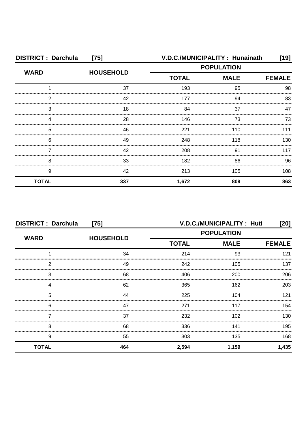| <b>DISTRICT: Darchula</b> | $[75]$           |                             | V.D.C./MUNICIPALITY: Hunainath | [19]          |
|---------------------------|------------------|-----------------------------|--------------------------------|---------------|
| <b>WARD</b>               | <b>HOUSEHOLD</b> | <b>POPULATION</b>           |                                |               |
|                           |                  | <b>MALE</b><br><b>TOTAL</b> |                                | <b>FEMALE</b> |
|                           | 37               | 193                         | 95                             | 98            |
| ◠                         | 42               | 177                         | 94                             | 83            |
| З                         | 18               | 84                          | 37                             | 47            |
|                           | 28               | 146                         | 73                             | 73            |
| 5                         | 46               | 221                         | 110                            | 111           |
| 6                         | 49               | 248                         | 118                            | 130           |
|                           | 42               | 208                         | 91                             | 117           |
| 8                         | 33               | 182                         | 86                             | 96            |
| 9                         | 42               | 213                         | 105                            | 108           |
| <b>TOTAL</b>              | 337              | 1,672                       | 809                            | 863           |

| <b>DISTRICT: Darchula</b><br>$[75]$ |                  |                   | V.D.C./MUNICIPALITY: Huti | [20]  |
|-------------------------------------|------------------|-------------------|---------------------------|-------|
| <b>WARD</b>                         | <b>HOUSEHOLD</b> | <b>POPULATION</b> |                           |       |
|                                     |                  | <b>TOTAL</b>      | <b>FEMALE</b>             |       |
|                                     | 34               | 214               | 93                        | 121   |
| 2                                   | 49               | 242               | 105                       | 137   |
| 3                                   | 68               | 406               | 200                       | 206   |
|                                     | 62               | 365               | 162                       | 203   |
| 5                                   | 44               | 225               | 104                       | 121   |
| 6                                   | 47               | 271               | 117                       | 154   |
|                                     | 37               | 232               | 102                       | 130   |
| 8                                   | 68               | 336               | 141                       | 195   |
| 9                                   | 55               | 303               | 135                       | 168   |
| <b>TOTAL</b>                        | 464              | 2,594             | 1,159                     | 1,435 |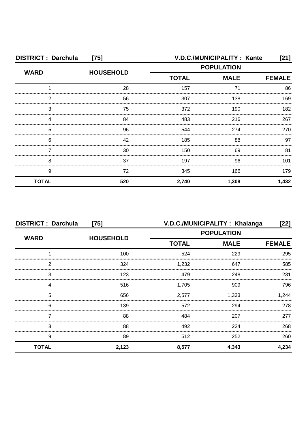| <b>DISTRICT: Darchula</b><br>$[75]$ |                  |                   | V.D.C./MUNICIPALITY : Kante  | [21]  |  |
|-------------------------------------|------------------|-------------------|------------------------------|-------|--|
| <b>WARD</b>                         | <b>HOUSEHOLD</b> | <b>POPULATION</b> |                              |       |  |
|                                     |                  | <b>TOTAL</b>      | <b>MALE</b><br><b>FEMALE</b> |       |  |
|                                     | 28               | 157               | 71                           | 86    |  |
| 2                                   | 56               | 307               | 138                          | 169   |  |
| 3                                   | 75               | 372               | 190                          | 182   |  |
|                                     | 84               | 483               | 216                          | 267   |  |
| 5                                   | 96               | 544               | 274                          | 270   |  |
| 6                                   | 42               | 185               | 88                           | 97    |  |
|                                     | 30               | 150               | 69                           | 81    |  |
| 8                                   | 37               | 197               | 96                           | 101   |  |
| 9                                   | 72               | 345               | 166                          | 179   |  |
| <b>TOTAL</b>                        | 520              | 2,740             | 1,308                        | 1,432 |  |

| <b>DISTRICT: Darchula</b><br>$[75]$ |                  | V.D.C./MUNICIPALITY: Khalanga<br>[22]            |       |               |
|-------------------------------------|------------------|--------------------------------------------------|-------|---------------|
| <b>WARD</b>                         |                  | <b>POPULATION</b><br><b>TOTAL</b><br><b>MALE</b> |       |               |
|                                     | <b>HOUSEHOLD</b> |                                                  |       | <b>FEMALE</b> |
|                                     | 100              | 524                                              | 229   | 295           |
| っ                                   | 324              | 1,232                                            | 647   | 585           |
| 3                                   | 123              | 479                                              | 248   | 231           |
|                                     | 516              | 1,705                                            | 909   | 796           |
| 5                                   | 656              | 2,577                                            | 1,333 | 1,244         |
| 6                                   | 139              | 572                                              | 294   | 278           |
|                                     | 88               | 484                                              | 207   | 277           |
| 8                                   | 88               | 492                                              | 224   | 268           |
| 9                                   | 89               | 512                                              | 252   | 260           |
| <b>TOTAL</b>                        | 2,123            | 8,577                                            | 4,343 | 4,234         |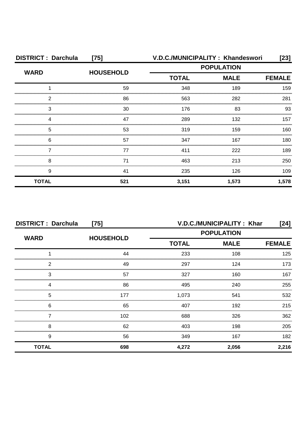| <b>DISTRICT: Darchula</b> | $[75]$           |                   | V.D.C./MUNICIPALITY: Khandeswori | $[23]$        |
|---------------------------|------------------|-------------------|----------------------------------|---------------|
| <b>WARD</b>               | <b>HOUSEHOLD</b> | <b>POPULATION</b> |                                  |               |
|                           |                  | <b>TOTAL</b>      | <b>MALE</b>                      | <b>FEMALE</b> |
|                           | 59               | 348               | 189                              | 159           |
| 2                         | 86               | 563               | 282                              | 281           |
| 3                         | 30               | 176               | 83                               | 93            |
| Δ                         | 47               | 289               | 132                              | 157           |
| 5                         | 53               | 319               | 159                              | 160           |
| 6                         | 57               | 347               | 167                              | 180           |
|                           | 77               | 411               | 222                              | 189           |
| 8                         | 71               | 463               | 213                              | 250           |
| 9                         | 41               | 235               | 126                              | 109           |
| <b>TOTAL</b>              | 521              | 3,151             | 1,573                            | 1,578         |

| <b>DISTRICT: Darchula</b><br>$[75]$ |                  | V.D.C./MUNICIPALITY: Khar<br>$[24]$ |             |               |
|-------------------------------------|------------------|-------------------------------------|-------------|---------------|
| <b>WARD</b>                         |                  | <b>POPULATION</b>                   |             |               |
|                                     | <b>HOUSEHOLD</b> | <b>TOTAL</b>                        | <b>MALE</b> | <b>FEMALE</b> |
|                                     | 44               | 233                                 | 108         | 125           |
| 2                                   | 49               | 297                                 | 124         | 173           |
| 3                                   | 57               | 327                                 | 160         | 167           |
| Δ                                   | 86               | 495                                 | 240         | 255           |
| 5                                   | 177              | 1,073                               | 541         | 532           |
| 6                                   | 65               | 407                                 | 192         | 215           |
|                                     | 102              | 688                                 | 326         | 362           |
| 8                                   | 62               | 403                                 | 198         | 205           |
| 9                                   | 56               | 349                                 | 167         | 182           |
| <b>TOTAL</b>                        | 698              | 4,272                               | 2,056       | 2,216         |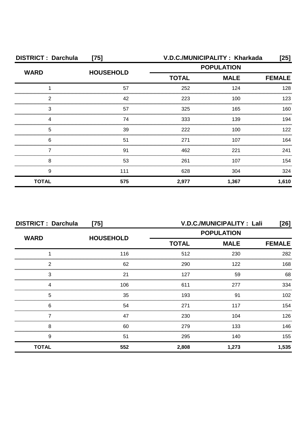| <b>DISTRICT: Darchula</b><br>$[75]$ |                  | V.D.C./MUNICIPALITY: Kharkada |       | [25]          |
|-------------------------------------|------------------|-------------------------------|-------|---------------|
| <b>WARD</b>                         | <b>HOUSEHOLD</b> | <b>POPULATION</b>             |       |               |
|                                     |                  | <b>TOTAL</b><br><b>MALE</b>   |       | <b>FEMALE</b> |
|                                     | 57               | 252                           | 124   | 128           |
| 2                                   | 42               | 223                           | 100   | 123           |
| З                                   | 57               | 325                           | 165   | 160           |
|                                     | 74               | 333                           | 139   | 194           |
| 5                                   | 39               | 222                           | 100   | 122           |
| 6                                   | 51               | 271                           | 107   | 164           |
|                                     | 91               | 462                           | 221   | 241           |
| 8                                   | 53               | 261                           | 107   | 154           |
| 9                                   | 111              | 628                           | 304   | 324           |
| <b>TOTAL</b>                        | 575              | 2,977                         | 1,367 | 1,610         |

| <b>DISTRICT: Darchula</b><br>$[75]$ |                  | V.D.C./MUNICIPALITY: Lali<br>[26] |             |               |
|-------------------------------------|------------------|-----------------------------------|-------------|---------------|
| <b>WARD</b>                         |                  | <b>POPULATION</b>                 |             |               |
|                                     | <b>HOUSEHOLD</b> | <b>TOTAL</b>                      | <b>MALE</b> | <b>FEMALE</b> |
|                                     | 116              | 512                               | 230         | 282           |
| 2                                   | 62               | 290                               | 122         | 168           |
| 3                                   | 21               | 127                               | 59          | 68            |
| Δ                                   | 106              | 611                               | 277         | 334           |
| 5                                   | 35               | 193                               | .91         | 102           |
| 6                                   | 54               | 271                               | 117         | 154           |
|                                     | 47               | 230                               | 104         | 126           |
| 8                                   | 60               | 279                               | 133         | 146           |
| 9                                   | 51               | 295                               | 140         | 155           |
| <b>TOTAL</b>                        | 552              | 2,808                             | 1,273       | 1,535         |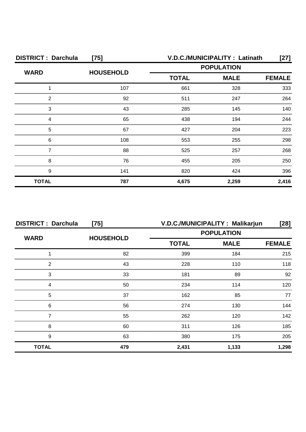| <b>DISTRICT: Darchula</b><br>$[75]$ |                  | V.D.C./MUNICIPALITY : Latinath<br>[27] |               |       |
|-------------------------------------|------------------|----------------------------------------|---------------|-------|
| <b>WARD</b>                         | <b>HOUSEHOLD</b> | <b>POPULATION</b>                      |               |       |
|                                     |                  | <b>TOTAL</b>                           | <b>FEMALE</b> |       |
|                                     | 107              | 661                                    | 328           | 333   |
| 2                                   | 92               | 511                                    | 247           | 264   |
| 3                                   | 43               | 285                                    | 145           | 140   |
|                                     | 65               | 438                                    | 194           | 244   |
| 5                                   | 67               | 427                                    | 204           | 223   |
| 6                                   | 108              | 553                                    | 255           | 298   |
|                                     | 88               | 525                                    | 257           | 268   |
| 8                                   | 76               | 455                                    | 205           | 250   |
| 9                                   | 141              | 820                                    | 424           | 396   |
| <b>TOTAL</b>                        | 787              | 4,675                                  | 2,259         | 2,416 |

| <b>DISTRICT: Darchula</b><br>$[75]$ |                  | V.D.C./MUNICIPALITY: Malikarjun<br>[28] |       |               |
|-------------------------------------|------------------|-----------------------------------------|-------|---------------|
| <b>WARD</b>                         | <b>HOUSEHOLD</b> | <b>POPULATION</b>                       |       |               |
|                                     |                  | <b>MALE</b><br><b>TOTAL</b>             |       | <b>FEMALE</b> |
|                                     | 82               | 399                                     | 184   | 215           |
| 2                                   | 43               | 228                                     | 110   | 118           |
| 3                                   | 33               | 181                                     | 89    | 92            |
|                                     | 50               | 234                                     | 114   | 120           |
| 5                                   | 37               | 162                                     | 85    | 77            |
| 6                                   | 56               | 274                                     | 130   | 144           |
|                                     | 55               | 262                                     | 120   | 142           |
| 8                                   | 60               | 311                                     | 126   | 185           |
| 9                                   | 63               | 380                                     | 175   | 205           |
| <b>TOTAL</b>                        | 479              | 2,431                                   | 1,133 | 1,298         |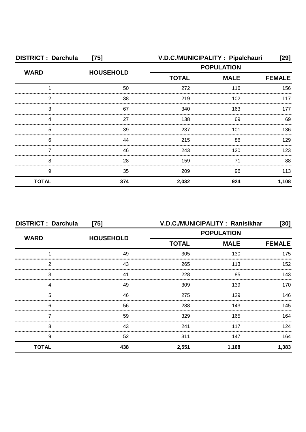| <b>DISTRICT: Darchula</b><br>$[75]$ |                  |              | V.D.C./MUNICIPALITY : Pipalchauri | [29]          |
|-------------------------------------|------------------|--------------|-----------------------------------|---------------|
| <b>WARD</b>                         |                  |              | <b>POPULATION</b>                 |               |
|                                     | <b>HOUSEHOLD</b> | <b>TOTAL</b> | <b>MALE</b>                       | <b>FEMALE</b> |
|                                     | 50               | 272          | 116                               | 156           |
| 2                                   | 38               | 219          | 102                               | 117           |
| 3                                   | 67               | 340          | 163                               | 177           |
|                                     | 27               | 138          | 69                                | 69            |
| 5                                   | 39               | 237          | 101                               | 136           |
| 6                                   | 44               | 215          | 86                                | 129           |
|                                     | 46               | 243          | 120                               | 123           |
| 8                                   | 28               | 159          | 71                                | 88            |
| 9                                   | 35               | 209          | 96                                | 113           |
| <b>TOTAL</b>                        | 374              | 2,032        | 924                               | 1,108         |

| <b>DISTRICT: Darchula</b><br>$[75]$ |                  |                   | V.D.C./MUNICIPALITY: Ranisikhar | [30]  |
|-------------------------------------|------------------|-------------------|---------------------------------|-------|
| <b>WARD</b>                         | <b>HOUSEHOLD</b> | <b>POPULATION</b> |                                 |       |
|                                     |                  | <b>TOTAL</b>      | <b>MALE</b>                     |       |
|                                     | 49               | 305               | 130                             | 175   |
| 2                                   | 43               | 265               | 113                             | 152   |
| 3                                   | 41               | 228               | 85                              | 143   |
|                                     | 49               | 309               | 139                             | 170   |
| 5                                   | 46               | 275               | 129                             | 146.  |
| 6                                   | 56               | 288               | 143                             | 145   |
|                                     | 59               | 329               | 165                             | 164   |
| 8                                   | 43               | 241               | 117                             | 124   |
| 9                                   | 52               | 311               | 147                             | 164   |
| <b>TOTAL</b>                        | 438              | 2,551             | 1,168                           | 1,383 |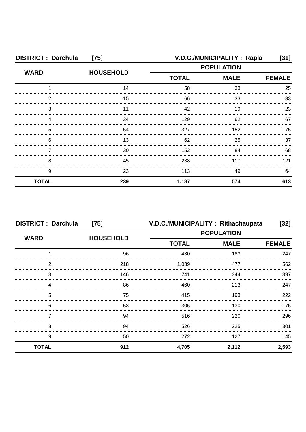| <b>DISTRICT: Darchula</b><br>$[75]$ |                  | V.D.C./MUNICIPALITY: Rapla<br>[31] |                   |               |
|-------------------------------------|------------------|------------------------------------|-------------------|---------------|
| <b>WARD</b>                         | <b>HOUSEHOLD</b> |                                    | <b>POPULATION</b> |               |
|                                     |                  | <b>MALE</b><br><b>TOTAL</b>        |                   | <b>FEMALE</b> |
|                                     | 14               | 58                                 | 33                | 25            |
| 2                                   | 15               | 66                                 | 33                | 33            |
| 3                                   |                  | 42                                 | 19                | 23            |
|                                     | 34               | 129                                | 62                | 67            |
| 5                                   | 54               | 327                                | 152               | 175           |
| 6                                   | 13               | 62                                 | 25                | 37            |
|                                     | 30               | 152                                | 84                | 68            |
| 8                                   | 45               | 238                                | 117               | 121           |
| 9                                   | 23               | 113                                | 49                | 64            |
| <b>TOTAL</b>                        | 239              | 1,187                              | 574               | 613           |

| <b>DISTRICT: Darchula</b><br>$[75]$ |                  |              | V.D.C./MUNICIPALITY: Rithachaupata | [32]          |
|-------------------------------------|------------------|--------------|------------------------------------|---------------|
| <b>WARD</b>                         |                  |              | <b>POPULATION</b>                  |               |
|                                     | <b>HOUSEHOLD</b> | <b>TOTAL</b> | <b>MALE</b>                        | <b>FEMALE</b> |
|                                     | 96               | 430          | 183                                | 247           |
| っ                                   | 218              | 1,039        | 477                                | 562           |
| 3                                   | 146              | 741          | 344                                | 397           |
|                                     | 86               | 460          | 213                                | 247           |
| 5                                   | 75               | 415          | 193                                | 222           |
| 6                                   | 53               | 306          | 130                                | 176           |
|                                     | 94               | 516          | 220                                | 296           |
| 8                                   | 94               | 526          | 225                                | 301           |
| 9                                   | 50               | 272          | 127                                | 145           |
| <b>TOTAL</b>                        | 912              | 4,705        | 2,112                              | 2,593         |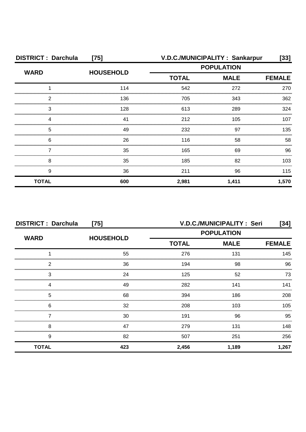| <b>DISTRICT: Darchula</b><br>$[75]$ |                  |                   | V.D.C./MUNICIPALITY: Sankarpur | [33]          |
|-------------------------------------|------------------|-------------------|--------------------------------|---------------|
| <b>WARD</b>                         | <b>HOUSEHOLD</b> | <b>POPULATION</b> |                                |               |
|                                     |                  | <b>TOTAL</b>      | <b>MALE</b>                    | <b>FEMALE</b> |
|                                     | 114              | 542               | 272                            | 270           |
| 2                                   | 136              | 705               | 343                            | 362           |
| 3                                   | 128              | 613               | 289                            | 324           |
|                                     | 41               | 212               | 105                            | 107           |
| 5                                   | 49               | 232               | 97                             | 135           |
| 6                                   | 26               | 116               | 58                             | 58            |
|                                     | 35               | 165               | 69                             | 96            |
| 8                                   | 35               | 185               | 82                             | 103           |
| 9                                   | 36               | 211               | 96                             | 115           |
| <b>TOTAL</b>                        | 600              | 2,981             | 1,411                          | 1,570         |

| <b>DISTRICT: Darchula</b><br>$[75]$ |                  | V.D.C./MUNICIPALITY: Seri<br>[34] |             |               |
|-------------------------------------|------------------|-----------------------------------|-------------|---------------|
| <b>WARD</b>                         | <b>HOUSEHOLD</b> | <b>POPULATION</b>                 |             |               |
|                                     |                  | <b>TOTAL</b>                      | <b>MALE</b> | <b>FEMALE</b> |
|                                     | 55               | 276                               | 131         | 145           |
| 2                                   | 36               | 194                               | 98          | 96            |
| 3                                   | 24               | 125                               | 52          | 73            |
| Δ                                   | 49               | 282                               | 141         | 141           |
| 5                                   | 68               | 394                               | 186         | 208           |
| 6                                   | 32               | 208                               | 103         | $105 -$       |
|                                     | 30               | 191                               | 96          | 95            |
| 8                                   | 47               | 279                               | 131         | 148           |
| 9                                   | 82               | 507                               | 251         | 256           |
| <b>TOTAL</b>                        | 423              | 2,456                             | 1,189       | 1,267         |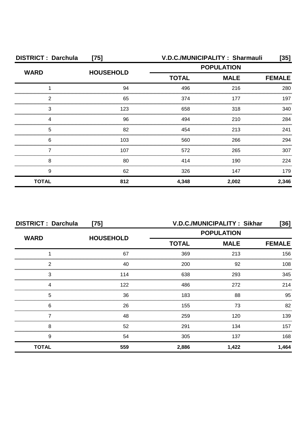| <b>DISTRICT: Darchula</b><br>$[75]$ |                  |                   | V.D.C./MUNICIPALITY: Sharmauli | [35]          |
|-------------------------------------|------------------|-------------------|--------------------------------|---------------|
| <b>WARD</b>                         |                  | <b>POPULATION</b> |                                |               |
|                                     | <b>HOUSEHOLD</b> | <b>TOTAL</b>      | <b>MALE</b>                    | <b>FEMALE</b> |
|                                     | 94               | 496               | 216                            | 280           |
| 2                                   | 65               | 374               | 177                            | 197           |
| 3                                   | 123              | 658               | 318                            | 340.          |
|                                     | 96               | 494               | 210                            | 284           |
| 5                                   | 82               | 454               | 213                            | 241           |
| 6                                   | 103              | 560               | 266                            | 294           |
|                                     | 107              | 572               | 265                            | 307           |
| 8                                   | 80               | 414               | 190                            | 224           |
| 9                                   | 62               | 326               | 147                            | 179           |
| <b>TOTAL</b>                        | 812              | 4,348             | 2,002                          | 2,346         |

|              | <b>DISTRICT: Darchula</b><br>$[75]$ |                   | V.D.C./MUNICIPALITY: Sikhar<br>[36] |               |  |
|--------------|-------------------------------------|-------------------|-------------------------------------|---------------|--|
| <b>WARD</b>  | <b>HOUSEHOLD</b>                    | <b>POPULATION</b> |                                     |               |  |
|              |                                     | <b>TOTAL</b>      | <b>MALE</b>                         | <b>FEMALE</b> |  |
|              | 67                                  | 369               | 213                                 | 156           |  |
| 2            | 40                                  | 200               | 92                                  | 108           |  |
| 3            | 114                                 | 638               | 293                                 | 345           |  |
| 4            | 122                                 | 486               | 272                                 | 214           |  |
| 5            | 36                                  | 183               | 88                                  | 95            |  |
| 6            | 26                                  | 155               | 73                                  | 82            |  |
|              | 48                                  | 259               | 120                                 | 139           |  |
| 8            | 52                                  | 291               | 134                                 | 157           |  |
| 9            | 54                                  | 305               | 137                                 | 168           |  |
| <b>TOTAL</b> | 559                                 | 2,886             | 1,422                               | 1,464         |  |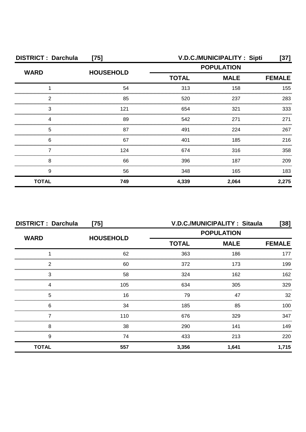| <b>DISTRICT: Darchula</b><br>$[75]$ |                  |                   | V.D.C./MUNICIPALITY: Sipti | [37]          |
|-------------------------------------|------------------|-------------------|----------------------------|---------------|
| <b>WARD</b>                         |                  | <b>POPULATION</b> |                            |               |
|                                     | <b>HOUSEHOLD</b> | <b>TOTAL</b>      | <b>MALE</b>                | <b>FEMALE</b> |
|                                     | 54               | 313               | 158                        | 155           |
| 2                                   | 85               | 520               | 237                        | 283           |
| 3                                   | 121              | 654               | 321                        | 333           |
|                                     | 89               | 542               | 271                        | 271           |
| 5                                   | 87               | 491               | 224                        | 267           |
| 6                                   | 67               | 401               | 185                        | 216           |
|                                     | 124              | 674               | 316                        | 358           |
| 8                                   | 66               | 396               | 187                        | 209           |
| 9                                   | 56               | 348               | 165                        | 183           |
| <b>TOTAL</b>                        | 749              | 4,339             | 2,064                      | 2,275         |

| <b>DISTRICT: Darchula</b><br>$[75]$ |                  | <b>V.D.C./MUNICIPALITY: Sitaula</b><br>[38] |             |               |
|-------------------------------------|------------------|---------------------------------------------|-------------|---------------|
| <b>WARD</b>                         | <b>HOUSEHOLD</b> | <b>POPULATION</b>                           |             |               |
|                                     |                  | <b>TOTAL</b>                                | <b>MALE</b> | <b>FEMALE</b> |
|                                     | 62               | 363                                         | 186         | 177           |
| っ                                   | 60               | 372                                         | 173         | 199           |
| 3                                   | 58               | 324                                         | 162         | 162           |
|                                     | 105              | 634                                         | 305         | 329           |
| 5                                   | 16               | 79                                          | 47          | 32            |
| 6                                   | 34               | 185                                         | 85          | 100           |
|                                     | 110              | 676                                         | 329         | 347           |
| 8                                   | 38               | 290                                         | 141         | 149           |
| 9                                   | 74               | 433                                         | 213         | 220           |
| <b>TOTAL</b>                        | 557              | 3,356                                       | 1,641       | 1,715         |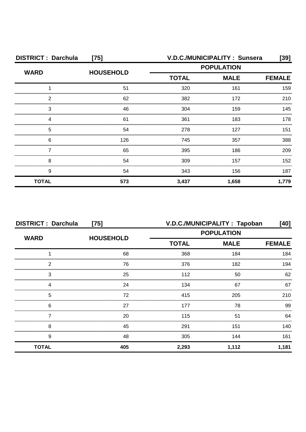| <b>DISTRICT: Darchula</b><br>$[75]$ |                  | V.D.C./MUNICIPALITY: Sunsera<br>[39] |             |               |
|-------------------------------------|------------------|--------------------------------------|-------------|---------------|
| <b>WARD</b>                         | <b>HOUSEHOLD</b> | <b>POPULATION</b>                    |             |               |
|                                     |                  | <b>TOTAL</b>                         | <b>MALE</b> | <b>FEMALE</b> |
|                                     | 51               | 320                                  | 161         | 159           |
| 2                                   | 62               | 382                                  | 172         | 210           |
| З                                   | 46               | 304                                  | 159         | 145           |
|                                     | 61               | 361                                  | 183         | 178           |
| 5                                   | 54               | 278                                  | 127         | 151           |
| 6                                   | 126              | 745                                  | 357         | 388           |
|                                     | 65               | 395                                  | 186         | 209           |
| 8                                   | 54               | 309                                  | 157         | 152           |
| 9                                   | 54               | 343                                  | 156         | 187           |
| <b>TOTAL</b>                        | 573              | 3,437                                | 1,658       | 1,779         |

| <b>DISTRICT: Darchula</b><br>$[75]$ |                  | V.D.C./MUNICIPALITY: Tapoban<br>[40] |             |               |
|-------------------------------------|------------------|--------------------------------------|-------------|---------------|
| <b>WARD</b>                         | <b>HOUSEHOLD</b> | <b>POPULATION</b>                    |             |               |
|                                     |                  | <b>TOTAL</b>                         | <b>MALE</b> | <b>FEMALE</b> |
|                                     | 68               | 368                                  | 184         | 184           |
| 2                                   | 76               | 376                                  | 182         | 194           |
| 3                                   | 25               | 112                                  | 50          | 62            |
|                                     | 24               | 134                                  | 67          | 67            |
| 5                                   | 72               | 415                                  | 205         | 210           |
| 6                                   | 27               | 177                                  | 78          | 99            |
|                                     | 20               | 115                                  | 51          | 64            |
| 8                                   | 45               | 291                                  | 151         | 140           |
| 9                                   | 48               | 305                                  | 144         | 161           |
| <b>TOTAL</b>                        | 405              | 2,293                                | 1,112       | 1,181         |